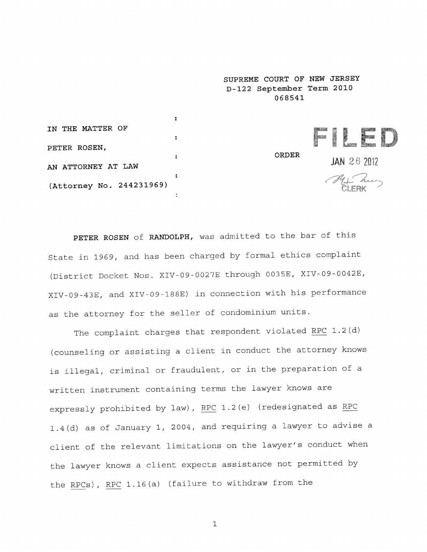**SUPREME COURT OF NEW JERSEY D-122 September Term 2010 068541**

 $\ddot{\phantom{a}}$ **IN THE MATTER OF**  $\ddot{\cdot}$ **PETER ROSEN, ORDER**  $\overline{\mathbf{r}}$ JAN 26 2012 AN ATTORNEY AT LAW Mat Zur **(Attorney No. 244231969)**  $\mathbf{r}$ 

PETER ROSEN of RANDOLPH, was admitted to the bar of this State in 1969, and has been charged by formal ethics complaint (District Docket Nos. XIV-09-0027E through 0035E, XIV-09-0042E, XIV-09-43E, and XIV-09-188E) in connection with his performance as the attorney for the seller of condominium units.

The complaint charges that respondent violated RPC 1.2(d) (counseling or assisting a client in conduct the attorney knows is illegal, criminal or fraudulent, or in the preparation of a written instrument containing terms the lawyer knows are expressly prohibited by law), RPC 1.2(e) (redesignated as RPC 1.4(d) as of January i, 2004, and requiring a lawyer to advise a client of the relevant limitations on the lawyer's conduct when the lawyer knows a client expects assistance not permitted by the RPCs), RPC 1.16(a) (failure to withdraw from the

 $\mathbf{1}$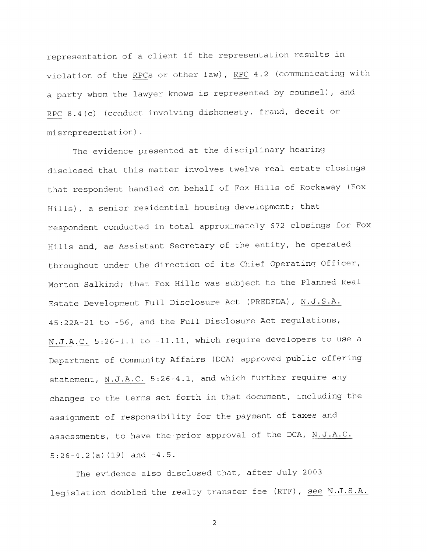representation of a client if the representation results in violation of the RPCs or other law), RPC 4.2 (communicating with a party whom the lawyer knows is represented by counsel), and RPC 8.4(c) (conduct involving dishonesty, fraud, deceit or misrepresentation

The evidence presented at the disciplinary hearing disclosed that this matter involves twelve real estate closings that respondent handled on behalf of Fox Hills of Rockaway (Fox Hills), a senior residential housing development; that respondent conducted in total approximately 672 closings for Fox Hills and, as Assistant Secretary of the entity, he operated throughout under the direction of its Chief Operating Officer, Morton Salkind; that Fox Hills was subject to the Planned Real Estate Development Full Disclosure Act (PREDFDA), N.J.S.A. 45:22A-21 to -56, and the Full Disclosure Act regulations, N.J.A.C. 5:26-1.1 to -II.ii, which require developers to use a Department of Community Affairs (DCA) approved public offering statement, N.J.A.C. 5:26-4.1, and which further require any changes to the terms set forth in that document, including the assignment of responsibility for the payment of taxes and assessments, to have the prior approval of the DCA, N.J.A.C. 5:26-4.2(a) (19) and -4.5.

The evidence also disclosed that, after July 2003 legislation doubled the realty transfer fee (RTF), see N.J.S.A.

2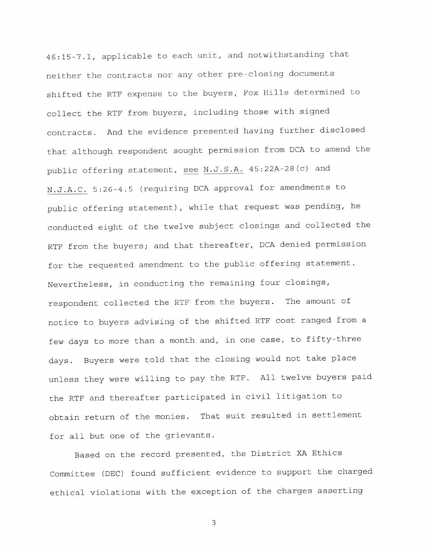46:15-7.1, applicable to each unit, and notwithstanding that neither the contracts nor any other pre-closing documents shifted the RTF expense to the buyers, Fox Hills determined to collect the RTF from buyers, including those with signed contracts. And the evidence presented having further disclosed that although respondent sought permission from DCA to amend the public offering statement, see N.J.S.A. 45:22A-28(c) and N.J.A.C. 5:26-4.5 (requiring DCA approval for amendments to public offering statement), while that request was pending, he conducted eight of the twelve subject closings and collected the RTF from the buyers; and that thereafter, DCA denied permission for the requested amendment to the public offering statement. Nevertheless, in conducting the remaining four closings, respondent collected the RTF from the buyers. The amount of notice to buyers advising of the shifted RTF cost ranged from a few days to more than a month and, in one case, to fifty-three days. Buyers were told that the closing would not take place unless they were willing to pay the RTF. All twelve buyers paid the RTF and thereafter participated in civil litigation to obtain return of the monies. That suit resulted in settlement for all but one of the grievants.

Based on the record presented, the District XA Ethics Committee (DEC) found sufficient evidence to support the charged ethical violations with the exception of the charges asserting

 $\overline{3}$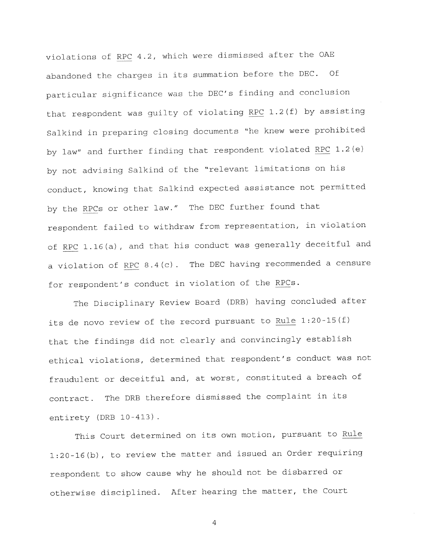violations of RPC 4.2, which were dismissed after the OAE abandoned the charges in its summation before the DEC. Of particular significance was the DEC's finding and conclusion that respondent was guilty of violating RPC 1.2(f) by assisting Salkind in preparing closing documents "he knew were prohibited by law" and further finding that respondent violated RPC 1.2(e) by not advising Salkind of the "relevant limitations on his conduct, knowing that Salkind expected assistance not permitted by the RPCs or other law." The DEC further found that respondent failed to withdraw from representation, in violation of RPC 1.16(a), and that his conduct was generally deceitful and a violation of RPC 8.4(c) . The DEC having recommended a censure for respondent's conduct in violation of the RPCs.

The Disciplinary Review Board (DRB) having concluded after its de novo review of the record pursuant to Rule 1:20-15(f) that the findings did not clearly and convincingly establish ethical violations, determined that respondent's conduct was not fraudulent or deceitful and, at worst, constituted a breach of contract. The DRB therefore dismissed the complaint in its entirety (DRB 10-413).

This Court determined on its own motion, pursuant to Rule 1:20-16(b), to review the matter and issued an Order requiring respondent to show cause why he should not be disbarred or otherwise disciplined. After hearing the matter, the Court

4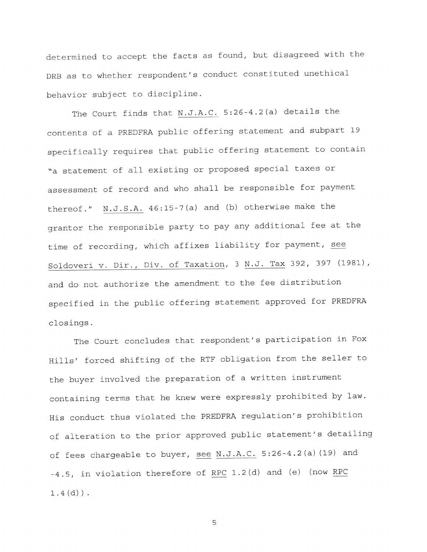determined to accept the facts as found, but disagreed with the DRB as to whether respondent's conduct constituted unethical behavior subject to discipline.

The Court finds that N.J.A.C. 5:26-4.2(a) details the contents of a PREDFKA public offering statement and subpart 19 specifically requires that public offering statement to contain "a statement of all existing or proposed special taxes or assessment of record and who shall be responsible for payment thereof." N.J.S.A. 46:15-7(a) and (b) otherwise make the grantor the responsible party to pay any additional fee at the time of recording, which affixes liability for payment, see Soldoveri v. Dir., Div. of Taxation, 3 N.J. Tax 392, 397 (1981), and do not authorize the amendment to the fee distribution specified in the public offering statement approved for PREDFKA c!osings.

The Court concludes that respondent's participation in Fox Hills' forced shifting of the RTF obligation from the seller to the buyer involved the preparation of a written instrument containing terms that he knew were expressly prohibited by law. His conduct thus violated the PREDFRA regulation's prohibition of alteration to the prior approved public statement's detailing of fees chargeable to buyer, see N.J.A.C. 5:26-4.2(a) (19) and -4.5, in violation therefore of RPC 1.2(d) and (e) (now RPC  $1.4$  (d)).

5